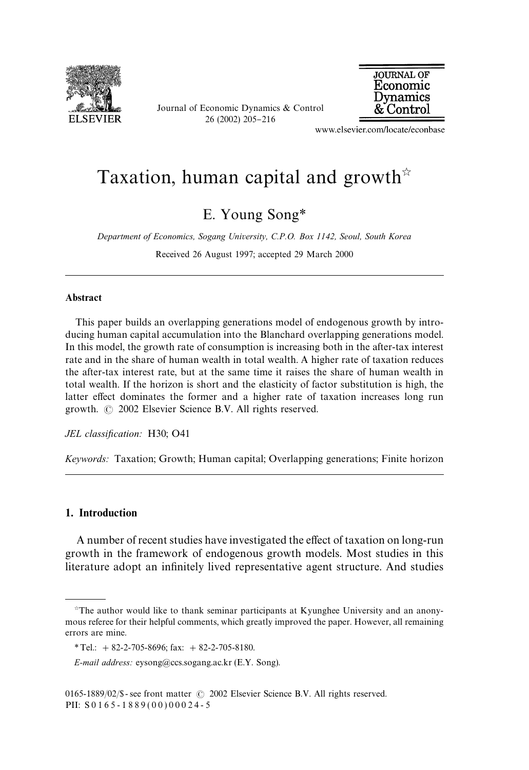

Journal of Economic Dynamics & Control 26 (2002) 205-216



www.elsevier.com/locate/econbase

## Taxation, human capital and growth  $\alpha$

E. Young Song*\**

*Department of Economics, Sogang University, C.P.O. Box 1142, Seoul, South Korea*

Received 26 August 1997; accepted 29 March 2000

## Abstract

This paper builds an overlapping generations model of endogenous growth by introducing human capital accumulation into the Blanchard overlapping generations model. In this model, the growth rate of consumption is increasing both in the after-tax interest rate and in the share of human wealth in total wealth. A higher rate of taxation reduces the after-tax interest rate, but at the same time it raises the share of human wealth in total wealth. If the horizon is short and the elasticity of factor substitution is high, the latter effect dominates the former and a higher rate of taxation increases long run growth.  $\odot$  2002 Elsevier Science B.V. All rights reserved.

*JEL classification:* H30; O41

*Keywords:* Taxation; Growth; Human capital; Overlapping generations; Finite horizon

## 1. Introduction

A number of recent studies have investigated the effect of taxation on long-run growth in the framework of endogenous growth models. Most studies in this literature adopt an infinitely lived representative agent structure. And studies

 $\hat{\tau}$ The author would like to thank seminar participants at Kyunghee University and an anonymous referee for their helpful comments, which greatly improved the paper. However, all remaining errors are mine.

*<sup>\*</sup>*Tel.: #82-2-705-8696; fax: #82-2-705-8180.

*E-mail address:* eysong@ccs.sogang.ac.kr (E.Y. Song).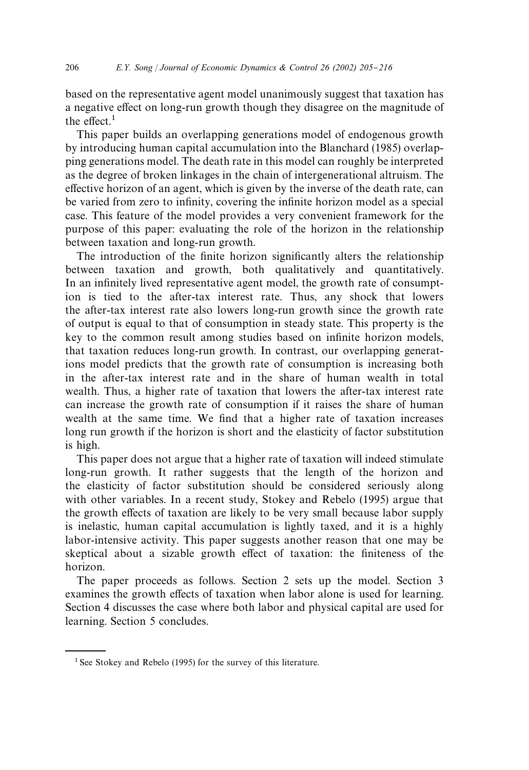based on the representative agent model unanimously suggest that taxation has a negative effect on long-run growth though they disagree on the magnitude of the effect. $1$ 

This paper builds an overlapping generations model of endogenous growth by introducing human capital accumulation into the Blanchard (1985) overlapping generations model. The death rate in this model can roughly be interpreted as the degree of broken linkages in the chain of intergenerational altruism. The effective horizon of an agent, which is given by the inverse of the death rate, can be varied from zero to infinity, covering the infinite horizon model as a special case. This feature of the model provides a very convenient framework for the purpose of this paper: evaluating the role of the horizon in the relationship between taxation and long-run growth.

The introduction of the finite horizon significantly alters the relationship between taxation and growth, both qualitatively and quantitatively. In an infinitely lived representative agent model, the growth rate of consumption is tied to the after-tax interest rate. Thus, any shock that lowers the after-tax interest rate also lowers long-run growth since the growth rate of output is equal to that of consumption in steady state. This property is the key to the common result among studies based on infinite horizon models, that taxation reduces long-run growth. In contrast, our overlapping generations model predicts that the growth rate of consumption is increasing both in the after-tax interest rate and in the share of human wealth in total wealth. Thus, a higher rate of taxation that lowers the after-tax interest rate can increase the growth rate of consumption if it raises the share of human wealth at the same time. We find that a higher rate of taxation increases long run growth if the horizon is short and the elasticity of factor substitution is high.

This paper does not argue that a higher rate of taxation will indeed stimulate long-run growth. It rather suggests that the length of the horizon and the elasticity of factor substitution should be considered seriously along with other variables. In a recent study, Stokey and Rebelo (1995) argue that the growth effects of taxation are likely to be very small because labor supply is inelastic, human capital accumulation is lightly taxed, and it is a highly labor-intensive activity. This paper suggests another reason that one may be skeptical about a sizable growth effect of taxation: the finiteness of the horizon.

The paper proceeds as follows. Section 2 sets up the model. Section 3 examines the growth effects of taxation when labor alone is used for learning. Section 4 discusses the case where both labor and physical capital are used for learning. Section 5 concludes.

 $1$  See Stokey and Rebelo (1995) for the survey of this literature.